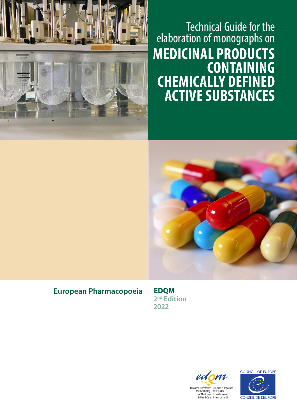

# Technical Guide for the elaboration of monographs on **MEDICINAL PRODUCTS CONTAINING CHEMICALLY DEFINED ACTIVE SUBSTANCES**



## **European Pharmacopoeia**

**EDQM 2nd Edition 2022**



**COUNCIL OF EUROPE** 

**CONSEIL DE L'EUROPE** 

& soins de santé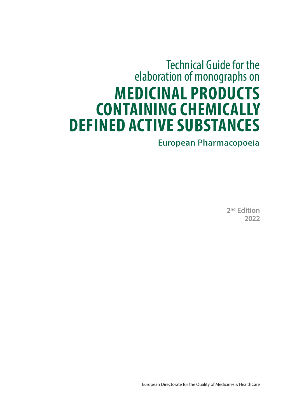# Technical Guide for the elaboration of monographs on **MEDICINAL PRODUCTS CONTAINING CHEMICALLY DEFINED ACTIVE SUBSTANCES**

# European Pharmacopoeia

**2nd Edition 2022**

European Directorate for the Quality of Medicines & HealthCare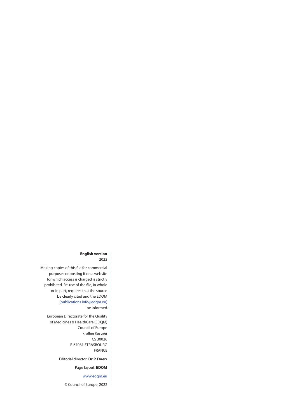#### **English version**

2022

| Making copies of this file for commercial |
|-------------------------------------------|
| purposes or posting it on a website       |
| for which access is charged is strictly   |
| prohibited. Re-use of the file, in whole  |
| or in part, requires that the source      |
| be clearly cited and the EDQM             |
| (publications.info@edgm.eu)               |
| be informed.                              |
| European Directorate for the Quality      |
| of Medicines & HealthCare (EDQM)          |
| Council of Europe                         |
| 7, allée Kastner                          |
| CS 30026                                  |
| F-67081 STRASBOURG                        |
| <b>FRANCF</b>                             |
| Editorial director: Dr P. Doerr           |
| Page layout: <b>EDQM</b>                  |
| www.edgm.eu                               |
|                                           |

© Council of Europe, 2022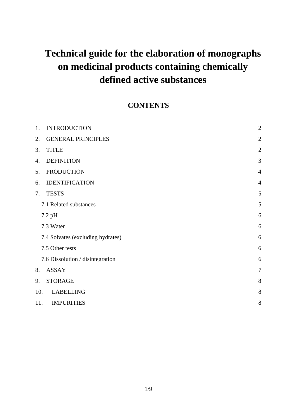# **Technical guide for the elaboration of monographs on medicinal products containing chemically defined active substances**

### **CONTENTS**

| 1.  | <b>INTRODUCTION</b>               | $\overline{2}$ |
|-----|-----------------------------------|----------------|
| 2.  | <b>GENERAL PRINCIPLES</b>         | $\overline{2}$ |
| 3.  | <b>TITLE</b>                      | $\overline{2}$ |
| 4.  | <b>DEFINITION</b>                 | 3              |
| 5.  | <b>PRODUCTION</b>                 | $\overline{4}$ |
| 6.  | <b>IDENTIFICATION</b>             | $\overline{4}$ |
| 7.  | <b>TESTS</b>                      | 5              |
|     | 7.1 Related substances            | 5              |
|     | 7.2 pH                            | 6              |
|     | 7.3 Water                         | 6              |
|     | 7.4 Solvates (excluding hydrates) | 6              |
|     | 7.5 Other tests                   | 6              |
|     | 7.6 Dissolution / disintegration  | 6              |
| 8.  | <b>ASSAY</b>                      | $\overline{7}$ |
| 9.  | <b>STORAGE</b>                    | 8              |
| 10. | <b>LABELLING</b>                  | 8              |
| 11. | <b>IMPURITIES</b>                 | 8              |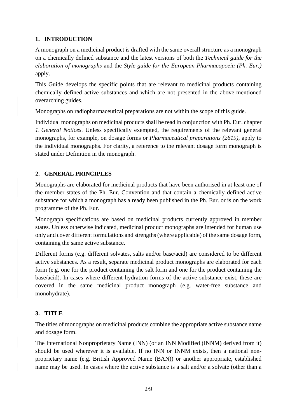#### **1. INTRODUCTION**

A monograph on a medicinal product is drafted with the same overall structure as a monograph on a chemically defined substance and the latest versions of both the *Technical guide for the elaboration of monographs* and the *Style guide for the European Pharmacopoeia (Ph. Eur.)*  apply.

This Guide develops the specific points that are relevant to medicinal products containing chemically defined active substances and which are not presented in the above-mentioned overarching guides.

Monographs on radiopharmaceutical preparations are not within the scope of this guide.

Individual monographs on medicinal products shall be read in conjunction with Ph. Eur. chapter *1. General Notices*. Unless specifically exempted, the requirements of the relevant general monographs, for example, on dosage forms or *Pharmaceutical preparations (2619)*, apply to the individual monographs. For clarity, a reference to the relevant dosage form monograph is stated under Definition in the monograph.

#### **2. GENERAL PRINCIPLES**

Monographs are elaborated for medicinal products that have been authorised in at least one of the member states of the Ph. Eur. Convention and that contain a chemically defined active substance for which a monograph has already been published in the Ph. Eur. or is on the work programme of the Ph. Eur.

Monograph specifications are based on medicinal products currently approved in member states. Unless otherwise indicated, medicinal product monographs are intended for human use only and cover different formulations and strengths (where applicable) of the same dosage form, containing the same active substance.

Different forms (e.g. different solvates, salts and/or base/acid) are considered to be different active substances. As a result, separate medicinal product monographs are elaborated for each form (e.g. one for the product containing the salt form and one for the product containing the base/acid). In cases where different hydration forms of the active substance exist, these are covered in the same medicinal product monograph (e.g. water-free substance and monohydrate).

#### **3. TITLE**

The titles of monographs on medicinal products combine the appropriate active substance name and dosage form.

The International Nonproprietary Name (INN) (or an INN Modified (INNM) derived from it) should be used wherever it is available. If no INN or INNM exists, then a national nonproprietary name (e.g. British Approved Name (BAN)) or another appropriate, established name may be used. In cases where the active substance is a salt and/or a solvate (other than a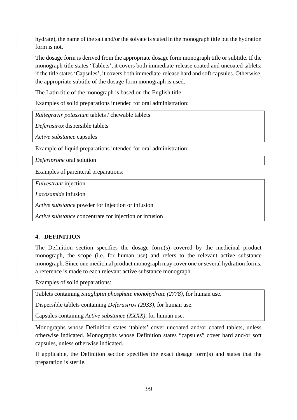hydrate), the name of the salt and/or the solvate is stated in the monograph title but the hydration form is not.

The dosage form is derived from the appropriate dosage form monograph title or subtitle. If the monograph title states 'Tablets', it covers both immediate-release coated and uncoated tablets; if the title states 'Capsules', it covers both immediate-release hard and soft capsules. Otherwise, the appropriate subtitle of the dosage form monograph is used.

The Latin title of the monograph is based on the English title.

Examples of solid preparations intended for oral administration:

*Raltegravir potassium* tablets / chewable tablets

*Deferasirox* dispersible tablets

*Active substance* capsules

Example of liquid preparations intended for oral administration:

*Deferiprone* oral solution

Examples of parenteral preparations:

*Fulvestrant* injection

*Lacosamide* infusion

*Active substance* powder for injection or infusion

*Active substance* concentrate for injection or infusion

#### **4. DEFINITION**

The Definition section specifies the dosage form(s) covered by the medicinal product monograph, the scope (i.e. for human use) and refers to the relevant active substance monograph. Since one medicinal product monograph may cover one or several hydration forms, a reference is made to each relevant active substance monograph.

Examples of solid preparations:

Tablets containing *Sitagliptin phosphate monohydrate (2778)*, for human use.

Dispersible tablets containing *Deferasirox (2933)*, for human use.

Capsules containing *Active substance (XXXX)*, for human use.

Monographs whose Definition states 'tablets' cover uncoated and/or coated tablets, unless otherwise indicated. Monographs whose Definition states "capsules" cover hard and/or soft capsules, unless otherwise indicated.

If applicable, the Definition section specifies the exact dosage form(s) and states that the preparation is sterile.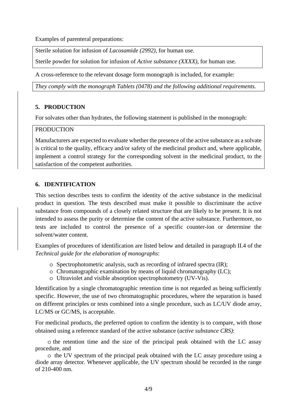Examples of parenteral preparations:

Sterile solution for infusion of *Lacosamide (2992)*, for human use*.* 

Sterile powder for solution for infusion of *Active substance (XXXX)*, for human use*.*

A cross-reference to the relevant dosage form monograph is included, for example:

*They comply with the monograph Tablets (0478) and the following additional requirements.*

#### **5. PRODUCTION**

For solvates other than hydrates, the following statement is published in the monograph:

#### **PRODUCTION**

Manufacturers are expected to evaluate whether the presence of the active substance as a solvate is critical to the quality, efficacy and/or safety of the medicinal product and, where applicable, implement a control strategy for the corresponding solvent in the medicinal product, to the satisfaction of the competent authorities.

#### **6. IDENTIFICATION**

This section describes tests to confirm the identity of the active substance in the medicinal product in question. The tests described must make it possible to discriminate the active substance from compounds of a closely related structure that are likely to be present. It is not intended to assess the purity or determine the content of the active substance. Furthermore, no tests are included to control the presence of a specific counter-ion or determine the solvent/water content.

Examples of procedures of identification are listed below and detailed in paragraph II.4 of the *Technical guide for the elaboration of monographs*:

- o Spectrophotometric analysis, such as recording of infrared spectra (IR);
- o Chromatographic examination by means of liquid chromatography (LC);
- o Ultraviolet and visible absorption spectrophotometry (UV-Vis).

Identification by a single chromatographic retention time is not regarded as being sufficiently specific. However, the use of two chromatographic procedures, where the separation is based on different principles or tests combined into a single procedure, such as LC/UV diode array, LC/MS or GC/MS, is acceptable.

For medicinal products, the preferred option to confirm the identity is to compare, with those obtained using a reference standard of the active substance (*active substance CRS)*:

o the retention time and the size of the principal peak obtained with the LC assay procedure, and

o the UV spectrum of the principal peak obtained with the LC assay procedure using a diode array detector. Whenever applicable, the UV spectrum should be recorded in the range of 210-400 nm.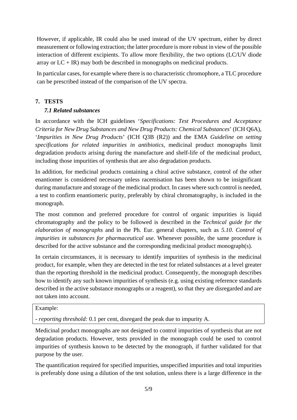However, if applicable, IR could also be used instead of the UV spectrum, either by direct measurement or following extraction; the latter procedure is more robust in view of the possible interaction of different excipients. To allow more flexibility, the two options (LC/UV diode array or  $LC + IR$ ) may both be described in monographs on medicinal products.

In particular cases, for example where there is no characteristic chromophore, a TLC procedure can be prescribed instead of the comparison of the UV spectra.

#### **7. TESTS**

#### *7.1 Related substances*

In accordance with the ICH guidelines '*Specifications: Test Procedures and Acceptance Criteria for New Drug Substances and New Drug Products: Chemical Substances*' (ICH Q6A), '*Impurities in New Drug Products*' (ICH Q3B (R2)) and the EMA *Guideline on setting specifications for related impurities in antibiotics*, medicinal product monographs limit degradation products arising during the manufacture and shelf-life of the medicinal product, including those impurities of synthesis that are also degradation products.

In addition, for medicinal products containing a chiral active substance, control of the other enantiomer is considered necessary unless racemisation has been shown to be insignificant during manufacture and storage of the medicinal product. In cases where such control is needed, a test to confirm enantiomeric purity, preferably by chiral chromatography, is included in the monograph.

The most common and preferred procedure for control of organic impurities is liquid chromatography and the policy to be followed is described in the *Technical guide for the elaboration of monographs* and in the Ph. Eur. general chapters, such as *5.10*. *Control of impurities in substances for pharmaceutical use*. Whenever possible, the same procedure is described for the active substance and the corresponding medicinal product monograph(s).

In certain circumstances, it is necessary to identify impurities of synthesis in the medicinal product, for example, when they are detected in the test for related substances at a level greater than the reporting threshold in the medicinal product. Consequently, the monograph describes how to identify any such known impurities of synthesis (e.g. using existing reference standards described in the active substance monographs or a reagent), so that they are disregarded and are not taken into account.

#### Example:

*- reporting threshold:* 0.1 per cent, disregard the peak due to impurity A.

Medicinal product monographs are not designed to control impurities of synthesis that are not degradation products. However, tests provided in the monograph could be used to control impurities of synthesis known to be detected by the monograph, if further validated for that purpose by the user.

The quantification required for specified impurities, unspecified impurities and total impurities is preferably done using a dilution of the test solution, unless there is a large difference in the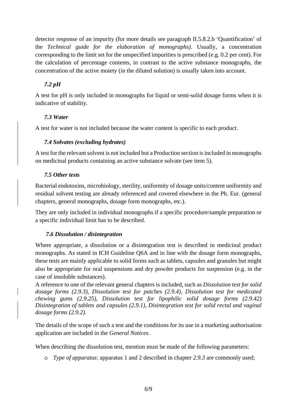detector response of an impurity (for more details see paragraph II.5.8.2.b 'Quantification' of the *Technical guide for the elaboration of monographs)*. Usually, a concentration corresponding to the limit set for the unspecified impurities is prescribed (e.g. 0.2 per cent). For the calculation of percentage contents, in contrast to the active substance monographs, the concentration of the active moiety (in the diluted solution) is usually taken into account.

#### *7.2 pH*

A test for pH is only included in monographs for liquid or semi-solid dosage forms when it is indicative of stability.

#### *7.3 Water*

A test for water is not included because the water content is specific to each product.

#### *7.4 Solvates (excluding hydrates)*

A test for the relevant solvent is not included but a Production section is included in monographs on medicinal products containing an active substance solvate (see item 5).

#### *7.5 Other tests*

Bacterial endotoxins, microbiology, sterility, uniformity of dosage units/content uniformity and residual solvent testing are already referenced and covered elsewhere in the Ph. Eur. (general chapters, general monographs, dosage form monographs, etc.).

They are only included in individual monographs if a specific procedure/sample preparation or a specific individual limit has to be described.

#### *7.6 Dissolution / disintegration*

Where appropriate, a dissolution or a disintegration test is described in medicinal product monographs. As stated in ICH Guideline Q6A and in line with the dosage form monographs, these tests are mainly applicable to solid forms such as tablets, capsules and granules but might also be appropriate for oral suspensions and dry powder products for suspension (e.g. in the case of insoluble substances).

A reference to one of the relevant general chapters is included, such as *Dissolution test for solid dosage forms (2.9.3), Dissolution test for patches (2.9.4), Dissolution test for medicated chewing gums (2.9.25), Dissolution test for lipophilic solid dosage forms (2.9.42) Disintegration of tablets and capsules (2.9.1), Disintegration test for solid rectal and vaginal dosage forms (2.9.2).* 

The details of the scope of such a test and the conditions for its use in a marketing authorisation application are included in the *General Notices*.

When describing the dissolution test, mention must be made of the following parameters:

o *Type of apparatus*: apparatus 1 and 2 described in chapter *2.9.3* are commonly used;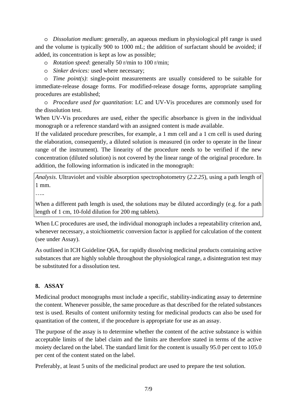o *Dissolution medium*: generally, an aqueous medium in physiological pH range is used and the volume is typically 900 to 1000 mL; the addition of surfactant should be avoided; if added, its concentration is kept as low as possible;

#### o *Rotation speed*: generally 50 r/min to 100 r/min;

o *Sinker devices:* used where necessary;

o *Time point(s)*: single-point measurements are usually considered to be suitable for immediate-release dosage forms. For modified-release dosage forms, appropriate sampling procedures are established;

o *Procedure used for quantitation*: LC and UV-Vis procedures are commonly used for the dissolution test.

When UV-Vis procedures are used, either the specific absorbance is given in the individual monograph or a reference standard with an assigned content is made available.

If the validated procedure prescribes, for example, a 1 mm cell and a 1 cm cell is used during the elaboration, consequently, a diluted solution is measured (in order to operate in the linear range of the instrument). The linearity of the procedure needs to be verified if the new concentration (diluted solution) is not covered by the linear range of the original procedure. In addition, the following information is indicated in the monograph:

*Analysis*. Ultraviolet and visible absorption spectrophotometry (*2.2.25*), using a path length of 1 mm.

…<br>……

When a different path length is used, the solutions may be diluted accordingly (e.g. for a path length of 1 cm, 10-fold dilution for 200 mg tablets).

When LC procedures are used, the individual monograph includes a repeatability criterion and, whenever necessary, a stoichiometric conversion factor is applied for calculation of the content (see under Assay).

As outlined in ICH Guideline Q6A, for rapidly dissolving medicinal products containing active substances that are highly soluble throughout the physiological range, a disintegration test may be substituted for a dissolution test.

#### **8. ASSAY**

Medicinal product monographs must include a specific, stability-indicating assay to determine the content. Whenever possible, the same procedure as that described for the related substances test is used. Results of content uniformity testing for medicinal products can also be used for quantitation of the content, if the procedure is appropriate for use as an assay.

The purpose of the assay is to determine whether the content of the active substance is within acceptable limits of the label claim and the limits are therefore stated in terms of the active moiety declared on the label. The standard limit for the content is usually 95.0 per cent to 105.0 per cent of the content stated on the label.

Preferably, at least 5 units of the medicinal product are used to prepare the test solution.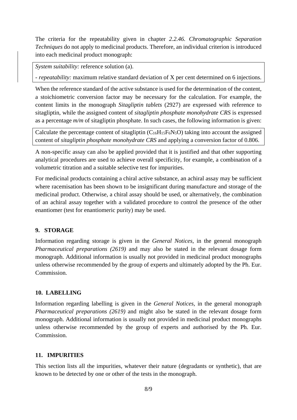The criteria for the repeatability given in chapter *2.2.46. Chromatographic Separation Techniques* do not apply to medicinal products. Therefore, an individual criterion is introduced into each medicinal product monograph:

*System suitability:* reference solution (a).

*- repeatability:* maximum relative standard deviation of X per cent determined on 6 injections.

When the reference standard of the active substance is used for the determination of the content, a stoichiometric conversion factor may be necessary for the calculation. For example, the content limits in the monograph *Sitagliptin tablets* (2927) are expressed with reference to sitagliptin, while the assigned content of *sitagliptin phosphate monohydrate CRS* is expressed as a percentage *m/m* of sitagliptin phosphate. In such cases, the following information is given:

Calculate the percentage content of sitagliptin  $(C_{16}H_{15}F_6N_5O)$  taking into account the assigned content of *sitagliptin phosphate monohydrate CRS* and applying a conversion factor of 0.806.

A non-specific assay can also be applied provided that it is justified and that other supporting analytical procedures are used to achieve overall specificity, for example, a combination of a volumetric titration and a suitable selective test for impurities.

For medicinal products containing a chiral active substance, an achiral assay may be sufficient where racemisation has been shown to be insignificant during manufacture and storage of the medicinal product. Otherwise, a chiral assay should be used, or alternatively, the combination of an achiral assay together with a validated procedure to control the presence of the other enantiomer (test for enantiomeric purity) may be used.

#### **9. STORAGE**

Information regarding storage is given in the *General Notices,* in the general monograph *Pharmaceutical preparations (2619)* and may also be stated in the relevant dosage form monograph. Additional information is usually not provided in medicinal product monographs unless otherwise recommended by the group of experts and ultimately adopted by the Ph. Eur. Commission.

#### **10. LABELLING**

Information regarding labelling is given in the *General Notices,* in the general monograph *Pharmaceutical preparations (2619)* and might also be stated in the relevant dosage form monograph. Additional information is usually not provided in medicinal product monographs unless otherwise recommended by the group of experts and authorised by the Ph. Eur. Commission.

#### **11. IMPURITIES**

This section lists all the impurities, whatever their nature (degradants or synthetic), that are known to be detected by one or other of the tests in the monograph.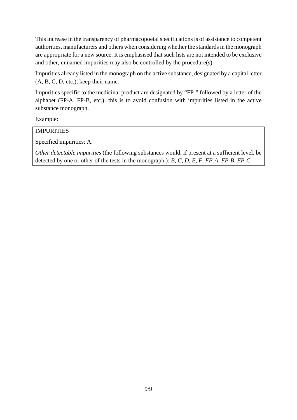This increase in the transparency of pharmacopoeial specifications is of assistance to competent authorities, manufacturers and others when considering whether the standards in the monograph are appropriate for a new source. It is emphasised that such lists are not intended to be exclusive and other, unnamed impurities may also be controlled by the procedure(s).

Impurities already listed in the monograph on the active substance, designated by a capital letter (A, B, C, D, etc.), keep their name.

Impurities specific to the medicinal product are designated by "FP-" followed by a letter of the alphabet (FP-A, FP-B, etc.); this is to avoid confusion with impurities listed in the active substance monograph.

Example:

#### IMPURITIES

Specified impurities: A.

*Other detectable impurities* (the following substances would, if present at a sufficient level, be detected by one or other of the tests in the monograph.): *B, C, D, E, F, FP-A, FP-B, FP-C*.